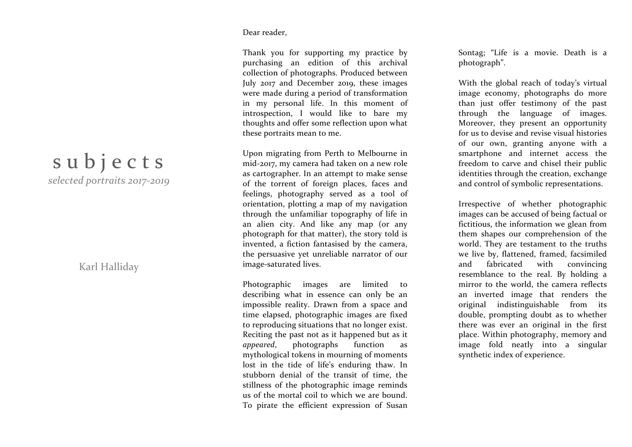## Dear reader,

Thank you for supporting my practice by purchasing an edition of this archival collection of photographs. Produced between July 2017 and December 2019, these images were made during a period of transformation in my personal life. In this moment of introspection, I would like to bare my thoughts and offer some reflection upon what these portraits mean to me.

Upon migrating from Perth to Melbourne in mid -2017, my camera had taken on a new role as cartographer. In an attempt to make sense of the torrent of foreign places, faces and feelings, photography served as a tool of orientation, plotting a map of my navigation through the unfamiliar topography of life in an alien city. And like any map (or any photograph for that matter), the story told is invented, a fiction fantasised by the camera, the persuasive yet unreliable narrator of our image-saturated lives.

Photographic images are limited to describing what in essence can only be an impossible reality. Drawn from a space and time elapsed, photographic images are fixed to reproducing situations that no longer exist. Reciting the past not as it happened but as it *appeared*, photographs function as mythological tokens in mourning of moments lost in the tide of life's enduring thaw. In stubborn denial of the transit of time, the stillness of the photographic image reminds us of the mortal coil to which we are bound. To pirate the efficient expression of Susan Sontag: "Life is a movie. Death is a photograph".

With the global reach of today's virtual image economy, photograph s do more than just offer testimony of the past through the language of images. Moreover, they present an opportunity for us to devise and revise visual histories of our own, granting anyone with a smartphone and internet access the freedom to carve and chisel their public identities through the creation, exchange and control of symbolic representations.

Irrespective of whether photographic images can be accused of being factual or fictitious, the information we glean from them shape s our comprehension of the world. They are testament to the truths we live by, flattened, framed, facsimiled and fabricated with convincing resemblance to the real. By holding a mirror to the world, the camera reflects an inverted image that renders the original indistinguishable from its double, prompting doubt as to whether there was ever an original in the first place. Within photography, memory and image fold neatly into a singular synthetic index of experience.

## subjects *selected portraits 2017 -2019*

Karl Halliday